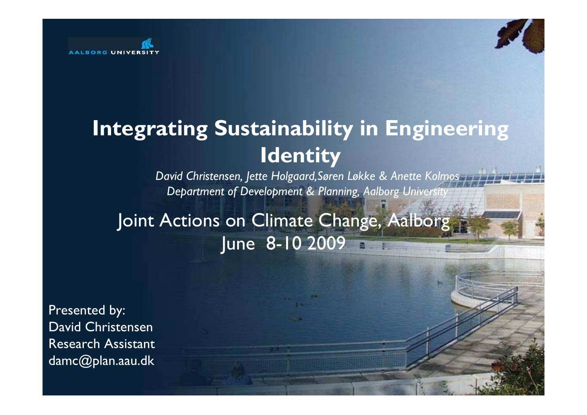

# **Integrating Sustainability in Engineering Identity**

*David Christensen, Jette Holgaard,Søren Løkke & Anette Kolmos Department of Development & Planning, Aalborg University*

Joint Actions on Climate Change, Aalborg June 8-10 2009

Presented by: David Christensen Research Assistant damc@plan.aau.dk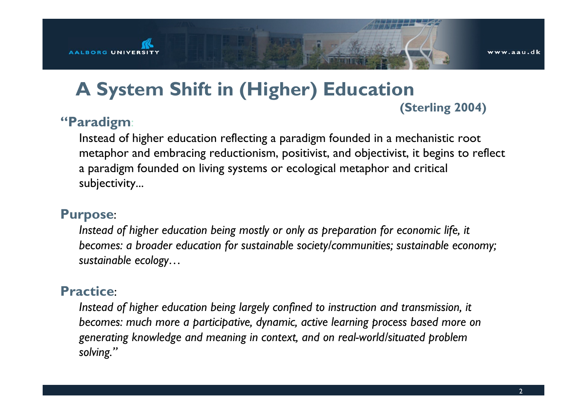

### **A System Shift in (Higher) Education (Sterling 2004)**

#### **"Paradigm**:

Instead of higher education reflecting a paradigm founded in a mechanistic root metaphor and embracing reductionism, positivist, and objectivist, it begins to reflect a paradigm founded on living systems or ecological metaphor and critical subjectivity...

#### **Purpose**:

*Instead of higher education being mostly or only as preparation for economic life, it becomes: a broader education for sustainable society/communities; sustainable economy; sustainable ecology…*

#### **Practice**:

*Instead of higher education being largely confined to instruction and transmission, it becomes: much more a participative, dynamic, active learning process based more on generating knowledge and meaning in context, and on real-world/situated problem solving."*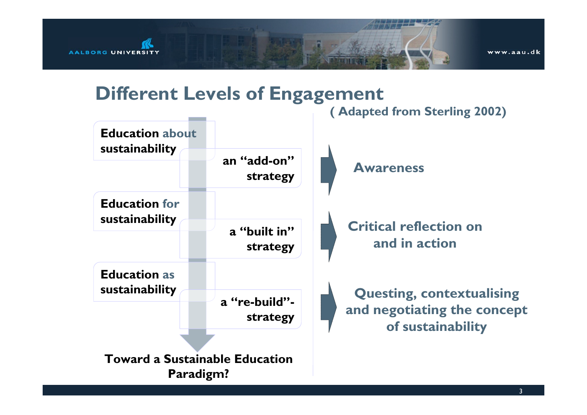

### **Different Levels of Engagement**

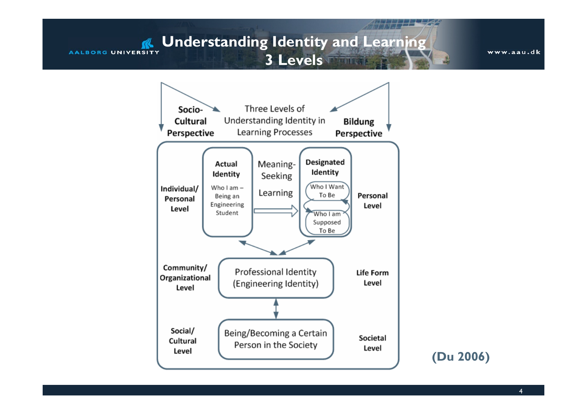#### **R** Understanding Identity and Learning **AALBORG UNIVERSITY 3 Levels**

www.aau.dk



**(Du 2006)**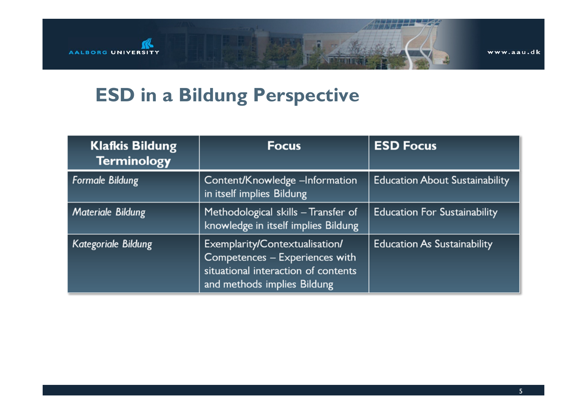

## **ESD in a Bildung Perspective**

| <b>Klafkis Bildung</b><br><b>Terminology</b> | <b>Focus</b>                                                                                                                           | <b>ESD Focus</b>                      |
|----------------------------------------------|----------------------------------------------------------------------------------------------------------------------------------------|---------------------------------------|
| <b>Formale Bildung</b>                       | Content/Knowledge -Information<br>in itself implies Bildung                                                                            | <b>Education About Sustainability</b> |
| <b>Materiale Bildung</b>                     | Methodological skills - Transfer of<br>knowledge in itself implies Bildung                                                             | <b>Education For Sustainability</b>   |
| Kategoriale Bildung                          | Exemplarity/Contextualisation/<br>Competences - Experiences with<br>situational interaction of contents<br>and methods implies Bildung | <b>Education As Sustainability</b>    |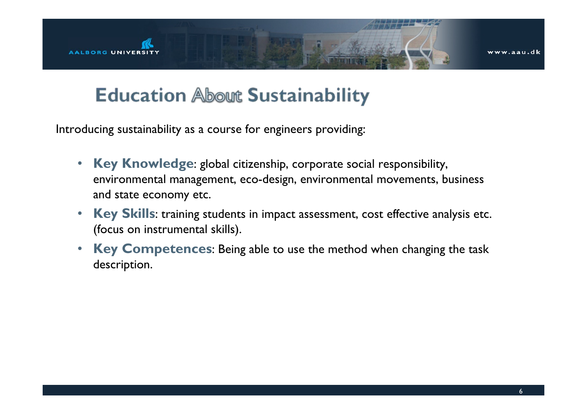

### **Education About Sustainability**

Introducing sustainability as a course for engineers providing:

- $\bullet$  **Key Knowledge**: global citizenship, corporate social responsibility, environmental management, eco-design, environmental movements, business and state economy etc.
- $\bullet$  **Key Skills**: training students in impact assessment, cost effective analysis etc. (focus on instrumental skills).
- $\bullet$  **Key Competences**: Being able to use the method when changing the task description.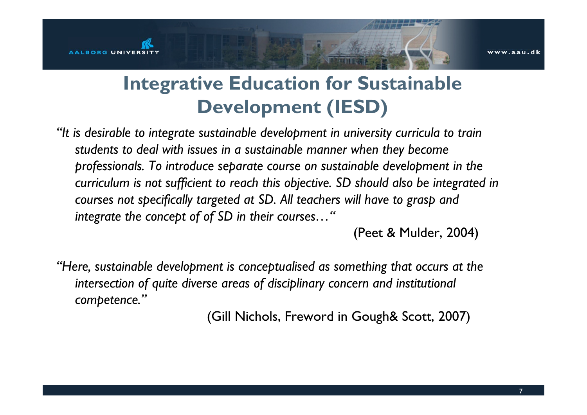# **Integrative Education for Sustainable Development (IESD)**

*"It is desirable to integrate sustainable development in university curricula to train students to deal with issues in a sustainable manner when they become professionals. To introduce separate course on sustainable development in the curriculum is not sufficient to reach this objective. SD should also be integrated in courses not specifically targeted at SD. All teachers will have to grasp and integrate the concept of of SD in their courses…"*

(Peet & Mulder, 2004)

*"Here, sustainable development is conceptualised as something that occurs at the intersection of quite diverse areas of disciplinary concern and institutional competence."*

(Gill Nichols, Freword in Gough& Scott, 2007)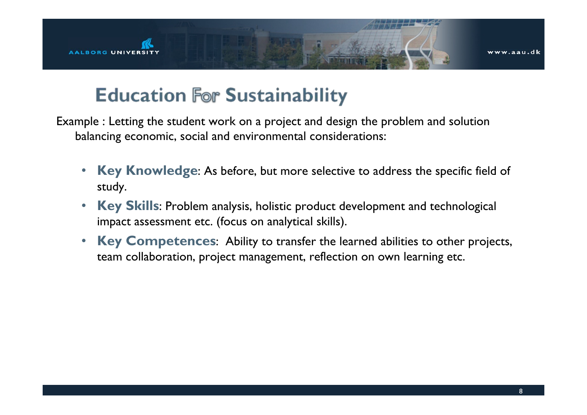

### **Education For Sustainability**

Example : Letting the student work on a project and design the problem and solution balancing economic, social and environmental considerations:

- • **Key Knowledge**: As before, but more selective to address the specific field of study.
- • **Key Skills**: Problem analysis, holistic product development and technological impact assessment etc. (focus on analytical skills).
- • **Key Competences**: Ability to transfer the learned abilities to other projects, team collaboration, project management, reflection on own learning etc.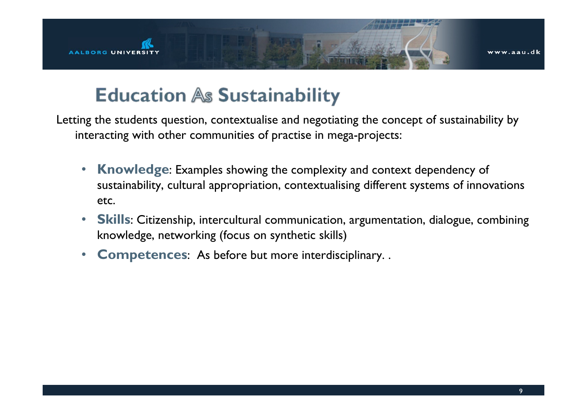



## **Education As Sustainability**

Letting the students question, contextualise and negotiating the concept of sustainability by interacting with other communities of practise in mega-projects:

- • **Knowledge**: Examples showing the complexity and context dependency of sustainability, cultural appropriation, contextualising different systems of innovations etc.
- • **Skills**: Citizenship, intercultural communication, argumentation, dialogue, combining knowledge, networking (focus on synthetic skills)
- $\bullet$ **Competences**: As before but more interdisciplinary. .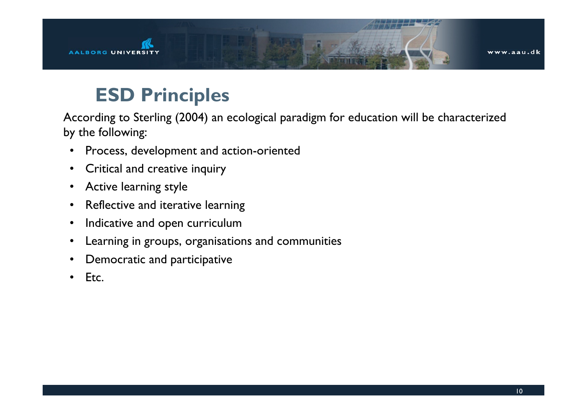

### **ESD Principles**

According to Sterling (2004) an ecological paradigm for education will be characterized by the following:

- •Process, development and action-oriented
- •Critical and creative inquiry
- •Active learning style
- •Reflective and iterative learning
- •Indicative and open curriculum
- •Learning in groups, organisations and communities
- •Democratic and participative
- •Etc.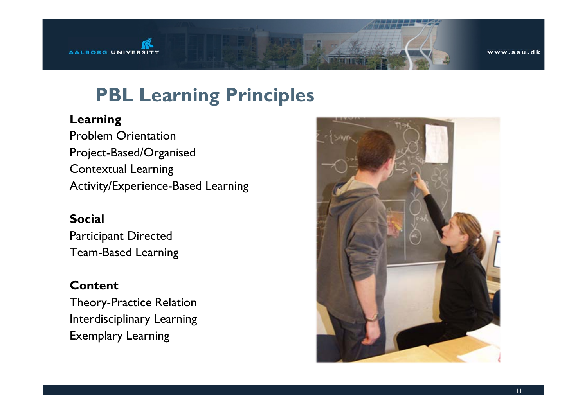

## **PBL Learning Principles**

#### **Learning**

Problem Orientation Project-Based/Organised Contextual Learning Activity/Experience-Based Learning

#### **Social**

Participant Directed Team-Based Learning

#### **Content**

Theory-Practice Relation Interdisciplinary Learning Exemplary Learning

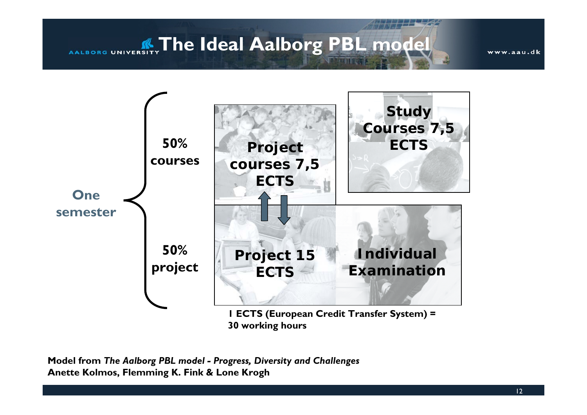**AALBORG UNIVERSITY** The Ideal Aalborg PBL model

www.aau.dk



**Model from** *The Aalborg PBL model - Progress, Diversity and Challenges* **Anette Kolmos, Flemming K. Fink & Lone Krogh**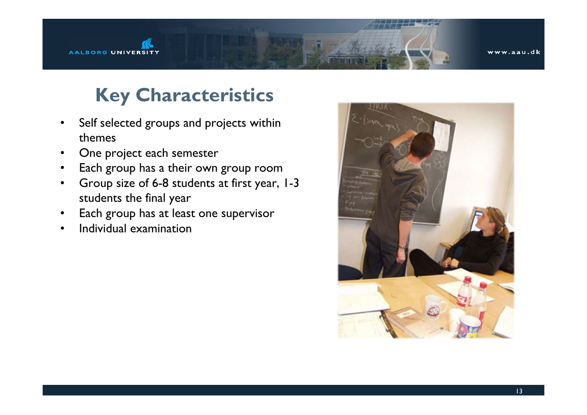

## **Key Characteristics**

- • Self selected groups and projects within themes
- •One project each semester
- •Each group has a their own group room
- • Group size of 6-8 students at first year, 1-3 students the final year
- •Each group has at least one supervisor
- •Individual examination

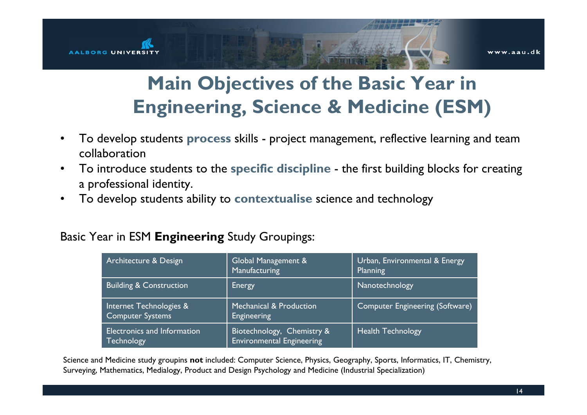

# **Main Objectives of the Basic Year in Engineering, Science & Medicine (ESM)**

- • To develop students **process** skills - project management, reflective learning and team collaboration
- • To introduce students to the **specific discipline** - the first building blocks for creating a professional identity.
- •To develop students ability to **contextualise** science and technology

#### Basic Year in ESM **Engineering** Study Groupings:

| Architecture & Design                              | Global Management &<br>Manufacturing                           | Urban, Environmental & Energy<br>Planning |
|----------------------------------------------------|----------------------------------------------------------------|-------------------------------------------|
| <b>Building &amp; Construction</b>                 | Energy                                                         | Nanotechnology                            |
| Internet Technologies &<br><b>Computer Systems</b> | Mechanical & Production<br><b>Engineering</b>                  | <b>Computer Engineering (Software)</b>    |
| Electronics and Information<br><b>Technology</b>   | Biotechnology, Chemistry &<br><b>Environmental Engineering</b> | <b>Health Technology</b>                  |

Science and Medicine study groupins **not** included: Computer Science, Physics, Geography, Sports, Informatics, IT, Chemistry, Surveying, Mathematics, Medialogy, Product and Design Psychology and Medicine (Industrial Specialization)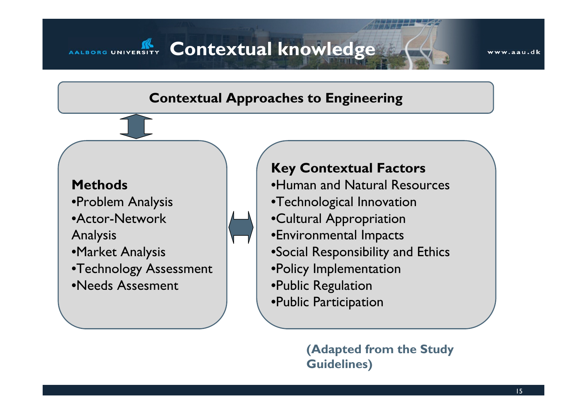### **AALBORG UNIVERSITY Contextual knowledge**

### **Contextual Approaches to Engineering**

#### **Methods**

•Problem Analysis •Actor-Network Analysis •Market Analysis •Technology Assessment •Needs Assesment

### **Key Contextual Factors**

•Human and Natural Resources•Technological Innovation •Cultural Appropriation •Environmental Impacts •Social Responsibility and Ethics •Policy Implementation •Public Regulation •Public Participation

> **(Adapted from the Study Guidelines)**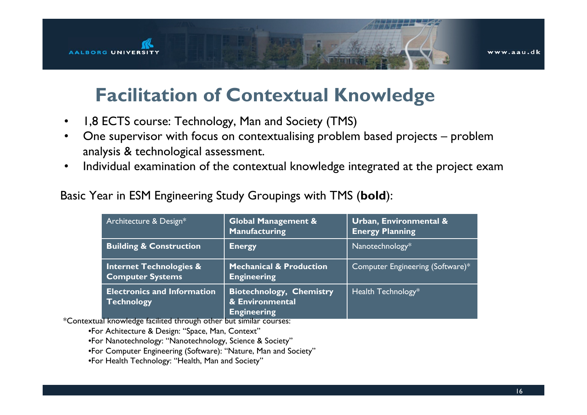

### **Facilitation of Contextual Knowledge**

- •1,8 ECTS course: Technology, Man and Society (TMS)
- • One supervisor with focus on contextualising problem based projects – problem analysis & technological assessment.
- •Individual examination of the contextual knowledge integrated at the project exam

Basic Year in ESM Engineering Study Groupings with TMS (**bold**):

| Architecture & Design*                                        | <b>Global Management &amp;</b><br>Manufacturing                          | <b>Urban, Environmental &amp;</b><br><b>Energy Planning</b> |
|---------------------------------------------------------------|--------------------------------------------------------------------------|-------------------------------------------------------------|
| <b>Building &amp; Construction</b>                            | <b>Energy</b>                                                            | Nanotechnology*                                             |
| <b>Internet Technologies &amp;</b><br><b>Computer Systems</b> | <b>Mechanical &amp; Production</b><br><b>Engineering</b>                 | Computer Engineering (Software)*                            |
| <b>Electronics and Information</b><br>Technology              | <b>Biotechnology, Chemistry</b><br>& Environmental<br><b>Engineering</b> | Health Technology*                                          |

\*Contextual knowledge facilited through other but similar courses:

•For Achitecture & Design: "Space, Man, Context"

•For Nanotechnology: "Nanotechnology, Science & Society"

•For Computer Engineering (Software): "Nature, Man and Society"

•For Health Technology: "Health, Man and Society"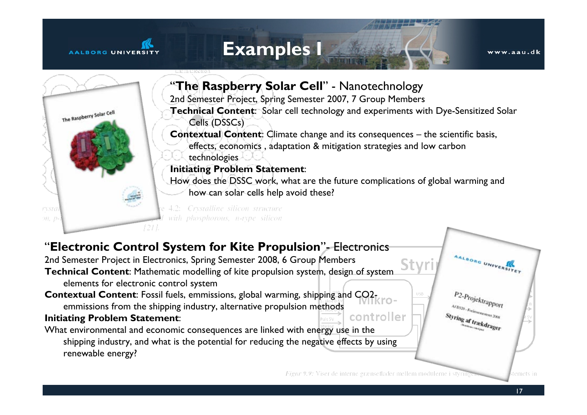#### AALBORG UNIVERSI

### **Examples I**

www.aau.dk



shipping industry, and what is the potential for reducing the negative effects by using renewable energy?

Figur 9.9: Viser de interne grænseflader mellem modulerne i styrin

temets in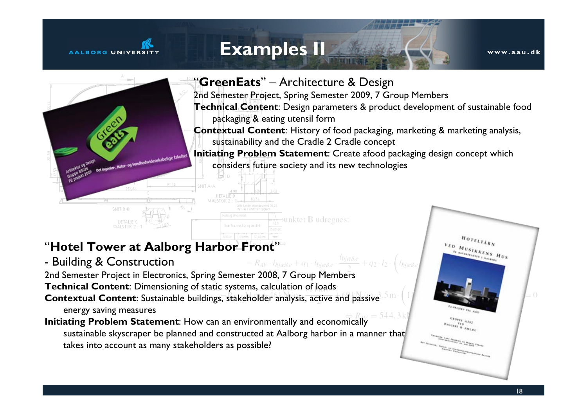#### AALBORG UNIVERS

### **Examples II**

www.aau.dk



### "**Hotel Tower at Aalborg Harbor Front**"

- Building & Construction
- $R_{AV} \cdot l_{bjække} + q_1 \cdot l_{bjække} \cdot \frac{l_{bjælk}}{2}$ 2nd Semester Project in Electronics, Spring Semester 2008, 7 Group Members
- **Technical Content**: Dimensioning of static systems, calculation of loads
- **Contextual Content**: Sustainable buildings, stakeholder analysis, active and passive energy saving measures
- **Initiating Problem Statement**: How can an environmentally and economically sustainable skyscraper be planned and constructed at Aalborg harbor in a manner that takes into account as many stakeholders as possible?

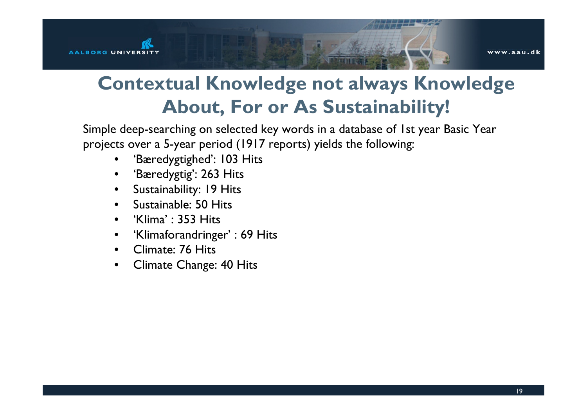

# **Contextual Knowledge not always Knowledge About, For or As Sustainability!**

Simple deep-searching on selected key words in a database of 1st year Basic Year projects over a 5-year period (1917 reports) yields the following:

- 'Bæredygtighed': 103 Hits
- 'Bæredygtig': 263 Hits
- Sustainability: 19 Hits
- Sustainable: 50 Hits
- 'Klima' : 353 Hits
- 'Klimaforandringer' : 69 Hits
- Climate: 76 Hits
- Climate Change: 40 Hits